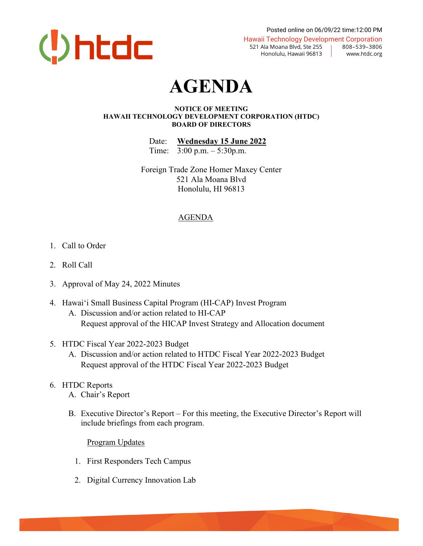

Posted online on 06/09/22 time:12:00 PM Hawaii Technology Development Corporation 521 Ala Moana Blvd, Ste 255 | 808–539–3806

Honolulu, Hawaii 96813 | www.htdc.org

## **AGENDA**

## **NOTICE OF MEETING HAWAII TECHNOLOGY DEVELOPMENT CORPORATION (HTDC) BOARD OF DIRECTORS**

Date: **Wednesday 15 June 2022** Time: 3:00 p.m. – 5:30p.m.

Foreign Trade Zone Homer Maxey Center 521 Ala Moana Blvd Honolulu, HI 96813

## AGENDA

- 1. Call to Order
- 2. Roll Call
- 3. Approval of May 24, 2022 Minutes
- 4. Hawai'i Small Business Capital Program (HI-CAP) Invest Program A. Discussion and/or action related to HI-CAP Request approval of the HICAP Invest Strategy and Allocation document
- 5. HTDC Fiscal Year 2022-2023 Budget
	- A. Discussion and/or action related to HTDC Fiscal Year 2022-2023 Budget Request approval of the HTDC Fiscal Year 2022-2023 Budget
- 6. HTDC Reports
	- A. Chair's Report
	- B. Executive Director's Report For this meeting, the Executive Director's Report will include briefings from each program.

Program Updates

- 1. First Responders Tech Campus
- 2. Digital Currency Innovation Lab